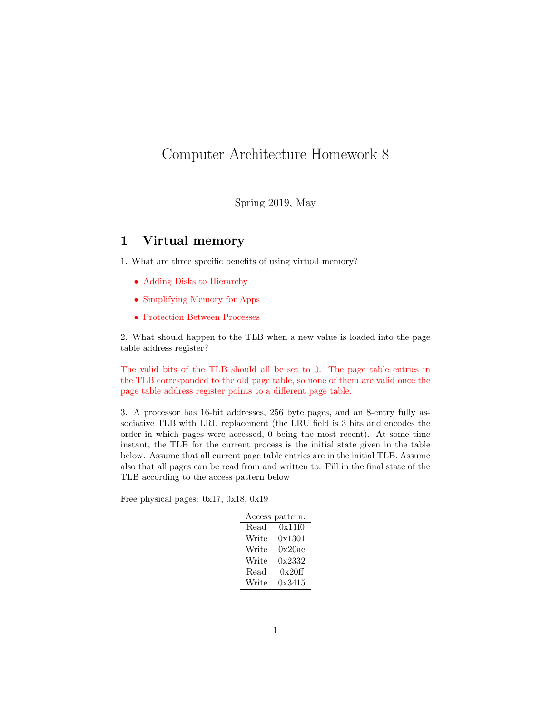# Computer Architecture Homework 8

Spring 2019, May

### 1 Virtual memory

1. What are three specific benefits of using virtual memory?

- Adding Disks to Hierarchy
- Simplifying Memory for Apps
- Protection Between Processes

2. What should happen to the TLB when a new value is loaded into the page table address register?

The valid bits of the TLB should all be set to 0. The page table entries in the TLB corresponded to the old page table, so none of them are valid once the page table address register points to a different page table.

3. A processor has 16-bit addresses, 256 byte pages, and an 8-entry fully associative TLB with LRU replacement (the LRU field is 3 bits and encodes the order in which pages were accessed, 0 being the most recent). At some time instant, the TLB for the current process is the initial state given in the table below. Assume that all current page table entries are in the initial TLB. Assume also that all pages can be read from and written to. Fill in the final state of the TLB according to the access pattern below

Free physical pages: 0x17, 0x18, 0x19

| Access pattern: |        |  |  |  |  |  |  |  |
|-----------------|--------|--|--|--|--|--|--|--|
| Read            | 0x11f0 |  |  |  |  |  |  |  |
| Write           | 0x1301 |  |  |  |  |  |  |  |
| Write           | 0x20ae |  |  |  |  |  |  |  |
| Write           | 0x2332 |  |  |  |  |  |  |  |
| Read            | 0x20ff |  |  |  |  |  |  |  |
| Write           | 0x3415 |  |  |  |  |  |  |  |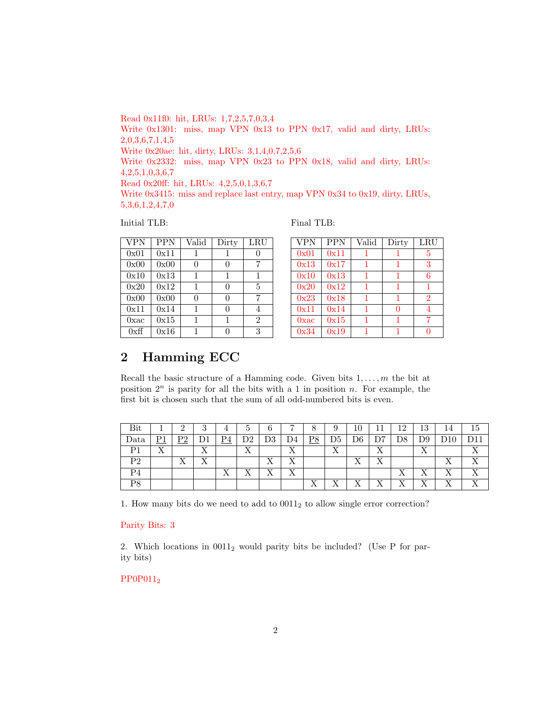Read 0x11f0: hit, LRUs: 1,7,2,5,7,0,3,4 Write 0x1301: miss, map VPN 0x13 to PPN 0x17, valid and dirty, LRUs: 2,0,3,6,7,1,4,5 Write 0x20ae: hit, dirty, LRUs: 3,1,4,0,7,2,5,6 Write 0x2332: miss, map VPN 0x23 to PPN 0x18, valid and dirty, LRUs: 4,2,5,1,0,3,6,7 Read 0x20ff: hit, LRUs: 4,2,5,0,1,3,6,7 Write 0x3415: miss and replace last entry, map VPN 0x34 to 0x19, dirty, LRUs, 5,3,6,1,2,4,7,0

Initial TLB:

Final TLB:

| <b>VPN</b> | <b>PPN</b> | Valid | Dirty | LRU            |
|------------|------------|-------|-------|----------------|
| 0x01       | 0x11       |       |       |                |
| 0x00       | 0x00       | 0     | 0     | 7              |
| 0x10       | 0x13       | 1     | 1     |                |
| 0x20       | 0x12       | 1     | 0     | 5              |
| 0x00       | 0x00       | 0     | 0     | 7              |
| 0x11       | 0x14       | 1     | 0     | 4              |
| $0$ xac    | 0x15       | 1     | 1     | $\mathfrak{D}$ |
| 0xff       | 0x16       |       |       | 3              |

| <b>VPN</b> | <b>PPN</b> | Valid | Dirty | LRU            |
|------------|------------|-------|-------|----------------|
| 0x01       | 0x11       |       |       | 5              |
| 0x13       | 0x17       | 1     |       | 3              |
| 0x10       | 0x13       | 1     | 1     |                |
| 0x20       | 0x12       | 1     | 1     |                |
| 0x23       | 0x18       | 1     | 1     | $\overline{2}$ |
| 0x11       | 0x14       | 1     | 0     |                |
| $0$ xac    | 0x15       | 1     |       |                |
| 0x34       | 0x19       |       |       |                |

# 2 Hamming ECC

Recall the basic structure of a Hamming code. Given bits  $1, \ldots, m$  the bit at position  $2^n$  is parity for all the bits with a 1 in position n. For example, the first bit is chosen such that the sum of all odd-numbered bits is even.

| Bit            |                   | $\ddot{\phantom{0}}$ | IJ              | 4                   | Ð                 | 6           | $\overline{ }$ |                   | 9                         | 10             |             | ( • ا<br>⊥∠         | 13                        | 14                | ТĐ        |
|----------------|-------------------|----------------------|-----------------|---------------------|-------------------|-------------|----------------|-------------------|---------------------------|----------------|-------------|---------------------|---------------------------|-------------------|-----------|
| $_{\rm Data}$  | D1                | D٥                   |                 | D <sub>A</sub><br>4 | DQ.<br>◡▵         | D3          | D4             | DO                | D <sub>5</sub>            | D6             | D7          | $_{\mathrm{D8}}$    | D9                        | D10<br><b>DIA</b> |           |
| $\mathbf{D}1$  | $\mathbf{v}$<br>л |                      | 77<br>$\Lambda$ |                     | <b>TT</b><br>△    |             | $\tau$         |                   | $\tau$<br>$\Lambda$       |                | T<br>△      |                     | $\mathbf{v}$<br>$\Lambda$ |                   | $\tau$    |
| P <sub>2</sub> |                   | $\mathbf{v}$<br>Λ    | ٦T<br>$\Lambda$ |                     |                   | v<br>л      | $\tau$         |                   |                           | Χ              | $\tau$<br>л |                     |                           | $\tau$            | <b>TT</b> |
| P <sub>4</sub> |                   |                      |                 | $\mathbf{v}$<br>л   | $\mathbf{v}$<br>∡ | $\tau$<br>∡ | $\tau$<br>∡⊾   |                   |                           |                |             | v<br>Λ              | $\mathbf{v}$<br>л         | $\mathbf{v}$      | T         |
| P8             |                   |                      |                 |                     |                   |             |                | $\mathbf{v}$<br>Λ | $\mathbf{v}$<br>$\Lambda$ | v<br>$\Lambda$ | $\tau$<br>л | $\tau$<br>$\Lambda$ | $\mathbf{v}$<br>л         | $\mathbf{v}$<br>л | T         |

1. How many bits do we need to add to  $0011<sub>2</sub>$  to allow single error correction?

### Parity Bits: 3

2. Which locations in  $0011_2$  would parity bits be included? (Use P for parity bits)

### $PP0P011<sub>2</sub>$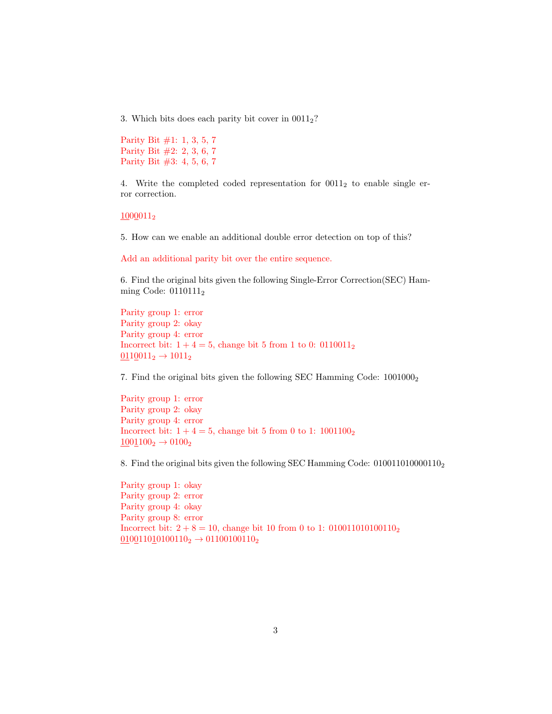3. Which bits does each parity bit cover in  $0011<sub>2</sub>$ ?

Parity Bit #1: 1, 3, 5, 7 Parity Bit #2: 2, 3, 6, 7 Parity Bit #3: 4, 5, 6, 7

4. Write the completed coded representation for  $0011<sub>2</sub>$  to enable single error correction.

1000011<sup>2</sup>

5. How can we enable an additional double error detection on top of this?

Add an additional parity bit over the entire sequence.

6. Find the original bits given the following Single-Error Correction(SEC) Hamming Code: 0110111<sub>2</sub>

Parity group 1: error Parity group 2: okay Parity group 4: error Incorrect bit:  $1+4=5$ , change bit 5 from 1 to 0: 0110011<sub>2</sub>  $\underline{01}1\underline{0}011_2 \rightarrow 1011_2$ 

7. Find the original bits given the following SEC Hamming Code:  $1001000<sub>2</sub>$ 

```
Parity group 1: error
Parity group 2: okay
Parity group 4: error
Incorrect bit: 1 + 4 = 5, change bit 5 from 0 to 1: 1001100<sub>2</sub>1001100_2 \rightarrow 0100_2
```
8. Find the original bits given the following SEC Hamming Code: 010011010000110<sup>2</sup>

Parity group 1: okay Parity group 2: error Parity group 4: okay Parity group 8: error Incorrect bit:  $2 + 8 = 10$ , change bit 10 from 0 to 1: 01001101010110<sub>2</sub>  $\underline{0100}110\underline{1}0100110_2 \rightarrow 01100100110_2$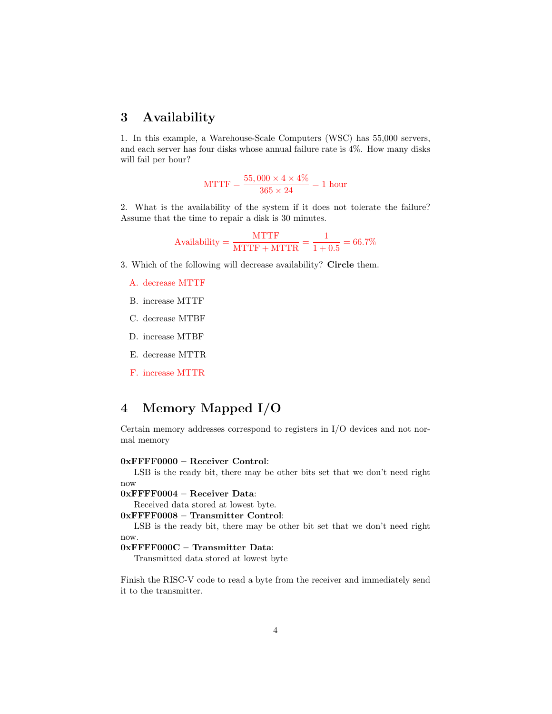### 3 Availability

1. In this example, a Warehouse-Scale Computers (WSC) has 55,000 servers, and each server has four disks whose annual failure rate is 4%. How many disks will fail per hour?

 $MTTF = \frac{55,000 \times 4 \times 4\%}{365 \times 24} = 1$  hour

2. What is the availability of the system if it does not tolerate the failure? Assume that the time to repair a disk is 30 minutes.

$$
\\\text{Availability} = \frac{\text{MTTF}}{\text{MTTF} + \text{MTTR}} = \frac{1}{1 + 0.5} = 66.7\%
$$

- 3. Which of the following will decrease availability? Circle them.
	- A. decrease MTTF
	- B. increase MTTF
	- C. decrease MTBF
	- D. increase MTBF
	- E. decrease MTTR
	- F. increase MTTR

## 4 Memory Mapped I/O

Certain memory addresses correspond to registers in I/O devices and not normal memory

#### 0xFFFF0000 – Receiver Control:

LSB is the ready bit, there may be other bits set that we don't need right now

#### 0xFFFF0004 – Receiver Data:

Received data stored at lowest byte.

0xFFFF0008 – Transmitter Control:

LSB is the ready bit, there may be other bit set that we don't need right now.

### 0xFFFF000C – Transmitter Data:

Transmitted data stored at lowest byte

Finish the RISC-V code to read a byte from the receiver and immediately send it to the transmitter.